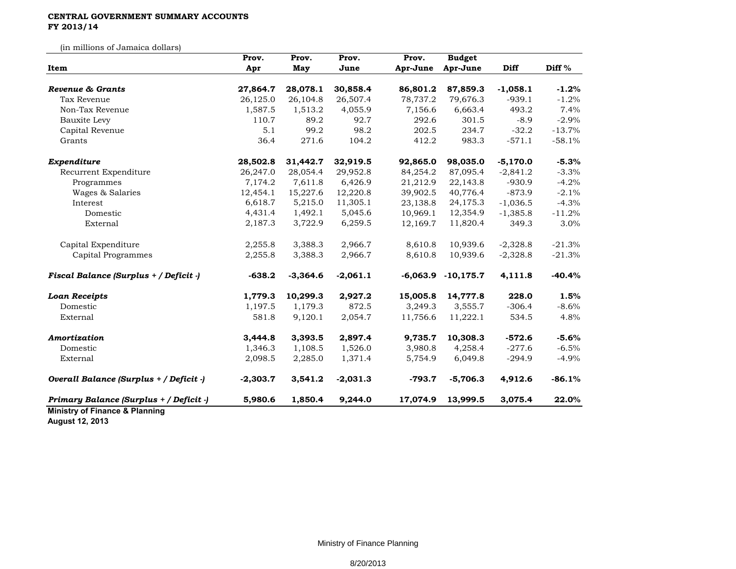## **CENTRAL GOVERNMENT SUMMARY ACCOUNTS FY 2013/14**

(in millions of Jamaica dollars)

|                                           | Prov.      | Prov.      | Prov.      | Prov.    | <b>Budget</b>          |            |                   |
|-------------------------------------------|------------|------------|------------|----------|------------------------|------------|-------------------|
| Item                                      | Apr        | May        | June       | Apr-June | Apr-June               | Diff       | Diff <sup>%</sup> |
| Revenue & Grants                          | 27,864.7   | 28,078.1   | 30,858.4   | 86,801.2 | 87,859.3               | $-1,058.1$ | $-1.2%$           |
| Tax Revenue                               | 26,125.0   | 26,104.8   | 26,507.4   | 78,737.2 | 79,676.3               | $-939.1$   | $-1.2%$           |
| Non-Tax Revenue                           |            |            |            |          |                        | 493.2      | 7.4%              |
|                                           | 1,587.5    | 1,513.2    | 4,055.9    | 7,156.6  | 6,663.4                |            |                   |
| <b>Bauxite Levy</b>                       | 110.7      | 89.2       | 92.7       | 292.6    | 301.5                  | $-8.9$     | $-2.9%$           |
| Capital Revenue                           | 5.1        | 99.2       | 98.2       | 202.5    | 234.7                  | $-32.2$    | $-13.7%$          |
| Grants                                    | 36.4       | 271.6      | 104.2      | 412.2    | 983.3                  | $-571.1$   | $-58.1%$          |
| Expenditure                               | 28,502.8   | 31,442.7   | 32,919.5   | 92,865.0 | 98,035.0               | $-5,170.0$ | $-5.3%$           |
| Recurrent Expenditure                     | 26,247.0   | 28,054.4   | 29,952.8   | 84,254.2 | 87,095.4               | $-2,841.2$ | $-3.3%$           |
| Programmes                                | 7,174.2    | 7,611.8    | 6,426.9    | 21,212.9 | 22,143.8               | $-930.9$   | $-4.2%$           |
| Wages & Salaries                          | 12,454.1   | 15,227.6   | 12,220.8   | 39,902.5 | 40,776.4               | $-873.9$   | $-2.1%$           |
| Interest                                  | 6,618.7    | 5,215.0    | 11,305.1   | 23,138.8 | 24,175.3               | $-1,036.5$ | $-4.3%$           |
| Domestic                                  | 4,431.4    | 1,492.1    | 5,045.6    | 10,969.1 | 12,354.9               | $-1,385.8$ | $-11.2%$          |
| External                                  | 2,187.3    | 3,722.9    | 6,259.5    | 12,169.7 | 11,820.4               | 349.3      | 3.0%              |
| Capital Expenditure                       | 2,255.8    | 3,388.3    | 2,966.7    | 8,610.8  | 10,939.6               | $-2,328.8$ | $-21.3%$          |
| Capital Programmes                        | 2,255.8    | 3,388.3    | 2,966.7    | 8,610.8  | 10,939.6               | $-2,328.8$ | $-21.3%$          |
| Fiscal Balance (Surplus + / Deficit -)    | $-638.2$   | $-3,364.6$ | $-2,061.1$ |          | $-6,063.9$ $-10,175.7$ | 4,111.8    | $-40.4%$          |
| <b>Loan Receipts</b>                      | 1,779.3    | 10,299.3   | 2,927.2    | 15,005.8 | 14,777.8               | 228.0      | 1.5%              |
| Domestic                                  | 1,197.5    | 1,179.3    | 872.5      | 3,249.3  | 3,555.7                | $-306.4$   | $-8.6%$           |
| External                                  | 581.8      | 9,120.1    | 2,054.7    | 11,756.6 | 11,222.1               | 534.5      | 4.8%              |
| Amortization                              | 3,444.8    | 3,393.5    | 2,897.4    | 9,735.7  | 10,308.3               | $-572.6$   | $-5.6%$           |
| Domestic                                  | 1,346.3    | 1,108.5    | 1,526.0    | 3,980.8  | 4,258.4                | $-277.6$   | $-6.5%$           |
| External                                  | 2,098.5    | 2,285.0    | 1,371.4    | 5,754.9  | 6,049.8                | $-294.9$   | $-4.9%$           |
| Overall Balance (Surplus + / Deficit -)   | $-2,303.7$ | 3,541.2    | $-2,031.3$ | $-793.7$ | $-5,706.3$             | 4,912.6    | $-86.1%$          |
| Primary Balance (Surplus + / Deficit -)   | 5,980.6    | 1,850.4    | 9,244.0    | 17,074.9 | 13,999.5               | 3,075.4    | 22.0%             |
| <b>Ministry of Finance &amp; Planning</b> |            |            |            |          |                        |            |                   |

**August 12, 2013**

Ministry of Finance Planning

8/20/2013